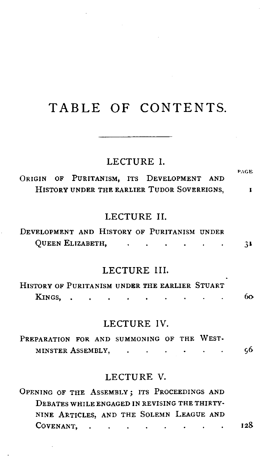## **TABLE OF CONTENTS.**

# **LECTURE 1.** PAGE

**ORIGIN OF PURITANISM, ITS DEVELOPMENT AND**  HISTORY UNDER THE EARLIER TUDOR SOVEREIGNS.  $\mathbf{I}$ 

#### **LECTURE** 11.

| DEVELOPMENT AND HISTORY OF PURITANISM UNDER |  |  |  |  |    |
|---------------------------------------------|--|--|--|--|----|
| QUEEN ELIZABETH,                            |  |  |  |  | 31 |

#### **LECTURE** 111.

| HISTORY OF PURITANISM UNDER THE EARLIER STUART |  |  |  |  |  |    |
|------------------------------------------------|--|--|--|--|--|----|
| KINGS                                          |  |  |  |  |  | 60 |

#### **LECTURE IV.**

**PREPARATION FOR AND SUMMONING OF THE WEST-MINSTER ASSEMBLY,** ...... **<sup>56</sup>**

#### **LECTURE V.**

OPENING OF THE ASSEMBLY; ITS PROCEEDINGS AND DEBATES WHILE ENGAGED IN REVISING THE THIRTY-NINE ARTICLES, AND THE SOLEMN LEAGUE AND COVENANT, . . . . . . . .  $128$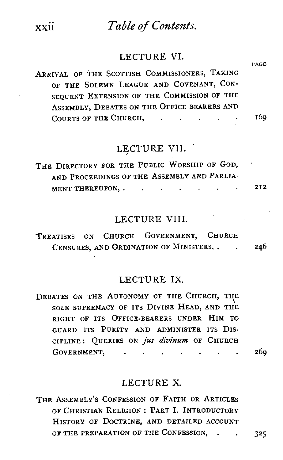## Table of Contents.

#### LECTURE VI.

ARRIVAL OF THE SCOTTISH COMMISSIONERS, TAKING OF THE SOLEMN LEAGUE AND COVENANT, CON-SEQUENT EXTRISION OF THE COMMISSION OF THE ASSEMBLY, DEBATES ON THE OFFICE-BEARERS AND COURTS OF THE CHURCH. 169  $\mathbf{r}$  $\mathbf{r}$ 

## LECTURE VII.

THE DIRECTORY FOR THE PUBLIC WORSHIP OF GOD. AND PROCEEDINGS OF THE ASSEMBLY AND PARLIA-MENT THEREUPON, . . . . .

#### LECTURE VIII.

TREATISES ON CHURCH GOVERNMENT, CHURCH CENSURES, AND ORDINATION OF MINISTERS..  $\sim$ 246

#### LECTURE IX

DEBATES ON THE AUTONOMY OF THE CHURCH, THE SOLE SUPREMACY OF ITS DIVINE HEAD, AND THE RIGHT OF ITS OFFICE-BEARERS UNDER HIM TO GUARD ITS PURITY AND ADMINISTER ITS DIS-CIPLINE: QUERIES ON jus divinum OF CHURCH GOVERNMENT, . . . . .

#### LECTURE X.

THE ASSEMBLY'S CONFESSION OF FAITH OR ARTICLES OF CHRISTIAN RELIGION: PART I. INTRODUCTORY HISTORY OF DOCTRINE, AND DETAILED ACCOUNT OF THE PREPARATION OF THE CONFESSION, .  $\ddot{\phantom{a}}$ 

xxii

325

26q

**PAGE** 

212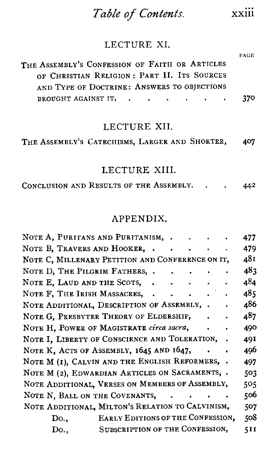## *Table* **of** *Contents.* xxiii

**PAGE** 

## LECTURE XI.

| THE ASSEMBLY'S CONFESSION OF FAITH OR ARTICLES |       |
|------------------------------------------------|-------|
| OF CHRISTIAN RELIGION: PART II. ITS SOURCES    |       |
| AND TYPE OF DOCTRINE: ANSWERS TO OBJECTIONS    |       |
| BROUGHT AGAINST IT,                            | - 370 |

#### LECTURE XII.

### LECTURE XIII.

CONCLUSION AND RESULTS OF THE ASSEMBLY. . . **<sup>442</sup>**

### APPENDIX.

| NOTE A, PURITANS AND PURITANISM,                 |                                   |                          |        |  | 477 |
|--------------------------------------------------|-----------------------------------|--------------------------|--------|--|-----|
| NOTE B, TRAVERS AND HOOKER,                      |                                   | $\overline{\phantom{a}}$ |        |  | 479 |
| NOTE C, MILLENARY PETITION AND CONFERENCE ON IT, |                                   |                          |        |  | 481 |
| NOTE D, THE PILGRIM FATHERS, .                   |                                   |                          |        |  | 483 |
| NOTE E, LAUD AND THE SCOTS,                      |                                   |                          |        |  | 484 |
| NOTE F. THE IRISH MASSACRES,                     |                                   | $\sim$                   |        |  | 485 |
| NOTE ADDITIONAL, DESCRIPTION OF ASSEMBLY, .      |                                   |                          |        |  | 486 |
| NOTE G. PRESBYTER THEORY OF ELDERSHIP,           |                                   |                          |        |  | 487 |
| NOTE H, POWER OF MAGISTRATE circa sacra,         |                                   |                          |        |  | 490 |
| NOTE I, LIBERTY OF CONSCIENCE AND TOLERATION,    |                                   |                          |        |  | 49I |
| NOTE K, ACTS OF ASSEMBLY, 1645 AND 1647,         |                                   |                          |        |  | 496 |
| NOTE M (I), CALVIN AND THE ENGLISH REFORMERS,    |                                   |                          |        |  | 497 |
| NOTE M (2), EDWARDIAN ARTICLES ON SACRAMENTS, .  |                                   |                          |        |  | 503 |
| NOTE ADDITIONAL, VERSES ON MEMBERS OF ASSEMBLY,  |                                   |                          |        |  | 505 |
| NOTE N, BALL ON THE COVENANTS,                   |                                   |                          | $\sim$ |  | 506 |
| NOTE ADDITIONAL, MILTON'S RELATION TO CALVINISM, |                                   |                          |        |  | 507 |
| Do.,                                             | EARLY EDITIONS OF THE CONFESSION, |                          |        |  | 508 |
| Do.,                                             | SUBSCRIPTION OF THE CONFESSION,   |                          |        |  | 511 |
|                                                  |                                   |                          |        |  |     |